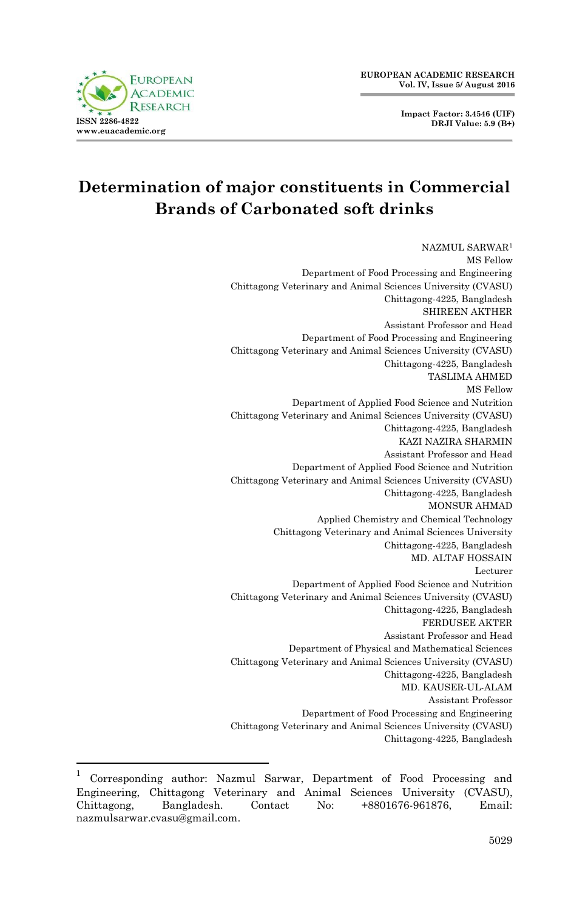**Impact Factor: 3.4546 (UIF) DRJI Value: 5.9 (B+)**



# **Determination of major constituents in Commercial Brands of Carbonated soft drinks**

NAZMUL SARWAR<sup>1</sup> MS Fellow Department of Food Processing and Engineering Chittagong Veterinary and Animal Sciences University (CVASU) Chittagong-4225, Bangladesh SHIREEN AKTHER Assistant Professor and Head Department of Food Processing and Engineering Chittagong Veterinary and Animal Sciences University (CVASU) Chittagong-4225, Bangladesh TASLIMA AHMED MS Fellow Department of Applied Food Science and Nutrition Chittagong Veterinary and Animal Sciences University (CVASU) Chittagong-4225, Bangladesh KAZI NAZIRA SHARMIN Assistant Professor and Head Department of Applied Food Science and Nutrition Chittagong Veterinary and Animal Sciences University (CVASU) Chittagong-4225, Bangladesh MONSUR AHMAD Applied Chemistry and Chemical Technology Chittagong Veterinary and Animal Sciences University Chittagong-4225, Bangladesh MD. ALTAF HOSSAIN Lecturer Department of Applied Food Science and Nutrition Chittagong Veterinary and Animal Sciences University (CVASU) Chittagong-4225, Bangladesh FERDUSEE AKTER Assistant Professor and Head Department of Physical and Mathematical Sciences Chittagong Veterinary and Animal Sciences University (CVASU) Chittagong-4225, Bangladesh MD. KAUSER-UL-ALAM Assistant Professor Department of Food Processing and Engineering Chittagong Veterinary and Animal Sciences University (CVASU) Chittagong-4225, Bangladesh

 $\frac{1}{1}$ Corresponding author: Nazmul Sarwar, Department of Food Processing and Engineering, Chittagong Veterinary and Animal Sciences University (CVASU), Chittagong, Bangladesh. Contact No: +8801676-961876, Email: nazmulsarwar.cvasu@gmail.com.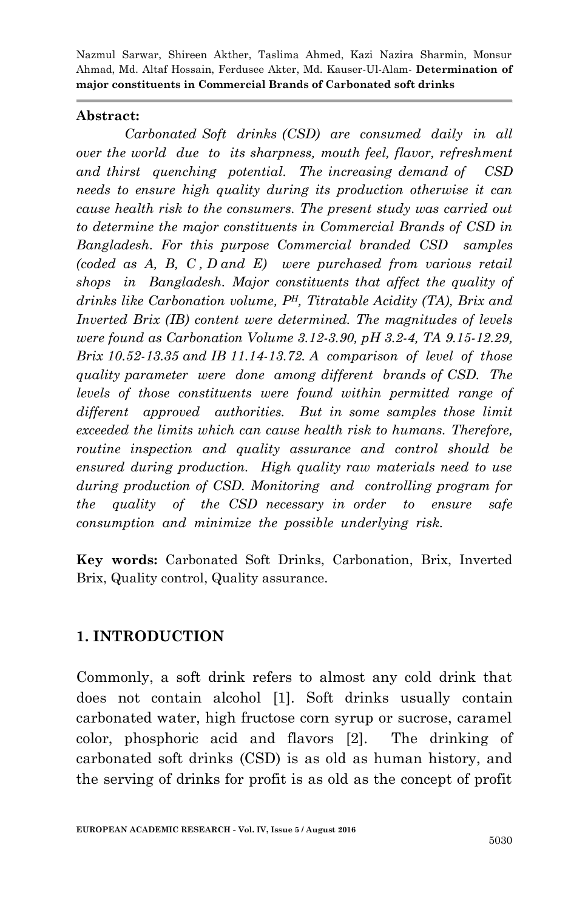#### **Abstract:**

*Carbonated Soft drinks (CSD) are consumed daily in all over the world due to its sharpness, mouth feel, flavor, refreshment and thirst quenching potential. The increasing demand of CSD needs to ensure high quality during its production otherwise it can cause health risk to the consumers. The present study was carried out to determine the major constituents in Commercial Brands of CSD in Bangladesh. For this purpose Commercial branded CSD samples (coded as A, B, C , D and E) were purchased from various retail shops in Bangladesh. Major constituents that affect the quality of drinks like Carbonation volume, PH, Titratable Acidity (TA), Brix and Inverted Brix (IB) content were determined. The magnitudes of levels were found as Carbonation Volume 3.12-3.90, pH 3.2-4, TA 9.15-12.29, Brix 10.52-13.35 and IB 11.14-13.72. A comparison of level of those quality parameter were done among different brands of CSD. The levels of those constituents were found within permitted range of different approved authorities. But in some samples those limit exceeded the limits which can cause health risk to humans. Therefore, routine inspection and quality assurance and control should be ensured during production. High quality raw materials need to use during production of CSD. Monitoring and controlling program for the quality of the CSD necessary in order to ensure safe consumption and minimize the possible underlying risk.* 

**Key words:** Carbonated Soft Drinks, Carbonation, Brix, Inverted Brix, Quality control, Quality assurance.

#### **1. INTRODUCTION**

Commonly, a soft drink refers to almost any cold drink that does not contain alcohol [1]. Soft drinks usually contain carbonated water, high fructose corn syrup or sucrose, caramel color, phosphoric acid and flavors [2]. The drinking of carbonated soft drinks (CSD) is as old as human history, and the serving of drinks for profit is as old as the concept of profit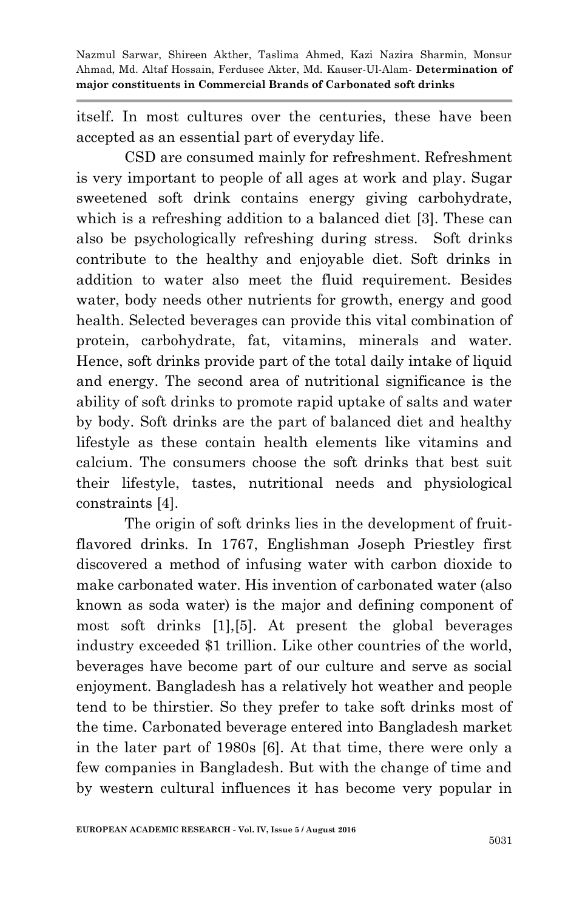itself. In most cultures over the centuries, these have been accepted as an essential part of everyday life.

CSD are consumed mainly for refreshment. Refreshment is very important to people of all ages at work and play. Sugar sweetened soft drink contains energy giving carbohydrate, which is a refreshing addition to a balanced diet [3]. These can also be psychologically refreshing during stress. Soft drinks contribute to the healthy and enjoyable diet. Soft drinks in addition to water also meet the fluid requirement. Besides water, body needs other nutrients for growth, energy and good health. Selected beverages can provide this vital combination of protein, carbohydrate, fat, vitamins, minerals and water. Hence, soft drinks provide part of the total daily intake of liquid and energy. The second area of nutritional significance is the ability of soft drinks to promote rapid uptake of salts and water by body. Soft drinks are the part of balanced diet and healthy lifestyle as these contain health elements like vitamins and calcium. The consumers choose the soft drinks that best suit their lifestyle, tastes, nutritional needs and physiological constraints [4].

The origin of soft drinks lies in the development of fruitflavored drinks. In 1767, Englishman Joseph Priestley first discovered a method of infusing water with carbon dioxide to make carbonated water. His invention of carbonated water (also known as soda water) is the major and defining component of most soft drinks [1],[5]. At present the global beverages industry exceeded \$1 trillion. Like other countries of the world, beverages have become part of our culture and serve as social enjoyment. Bangladesh has a relatively hot weather and people tend to be thirstier. So they prefer to take soft drinks most of the time. Carbonated beverage entered into Bangladesh market in the later part of 1980s [6]. At that time, there were only a few companies in Bangladesh. But with the change of time and by western cultural influences it has become very popular in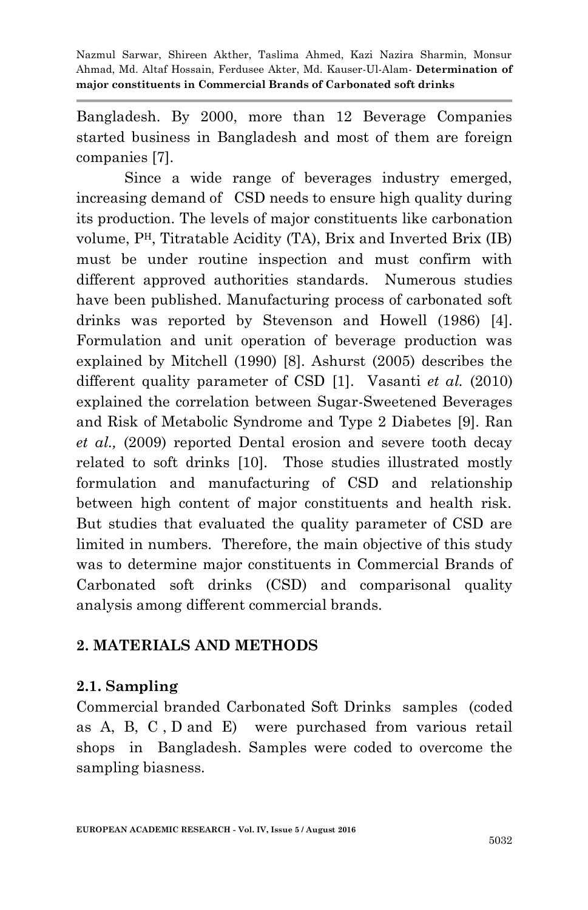Bangladesh. By 2000, more than 12 Beverage Companies started business in Bangladesh and most of them are foreign companies [7].

Since a wide range of beverages industry emerged, increasing demand of CSD needs to ensure high quality during its production. The levels of major constituents like carbonation volume, PH, Titratable Acidity (TA), Brix and Inverted Brix (IB) must be under routine inspection and must confirm with different approved authorities standards. Numerous studies have been published. Manufacturing process of carbonated soft drinks was reported by Stevenson and Howell (1986) [4]. Formulation and unit operation of beverage production was explained by Mitchell (1990) [8]. Ashurst (2005) describes the different quality parameter of CSD [1]. Vasanti *et al.* (2010) explained the correlation between Sugar-Sweetened Beverages and Risk of Metabolic Syndrome and Type 2 Diabetes [9]. Ran *et al.,* (2009) reported Dental erosion and severe tooth decay related to soft drinks [10]. Those studies illustrated mostly formulation and manufacturing of CSD and relationship between high content of major constituents and health risk. But studies that evaluated the quality parameter of CSD are limited in numbers. Therefore, the main objective of this study was to determine major constituents in Commercial Brands of Carbonated soft drinks (CSD) and comparisonal quality analysis among different commercial brands.

# **2. MATERIALS AND METHODS**

#### **2.1. Sampling**

Commercial branded Carbonated Soft Drinks samples (coded as A, B, C , D and E) were purchased from various retail shops in Bangladesh. Samples were coded to overcome the sampling biasness.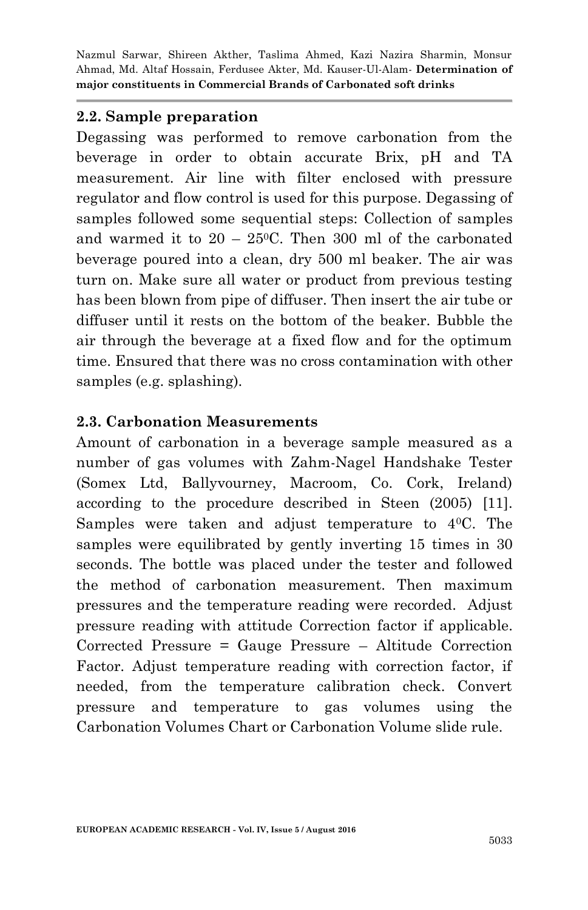#### **2.2. Sample preparation**

Degassing was performed to remove carbonation from the beverage in order to obtain accurate Brix, pH and TA measurement. Air line with filter enclosed with pressure regulator and flow control is used for this purpose. Degassing of samples followed some sequential steps: Collection of samples and warmed it to  $20 - 25^{\circ}$ C. Then 300 ml of the carbonated beverage poured into a clean, dry 500 ml beaker. The air was turn on. Make sure all water or product from previous testing has been blown from pipe of diffuser. Then insert the air tube or diffuser until it rests on the bottom of the beaker. Bubble the air through the beverage at a fixed flow and for the optimum time. Ensured that there was no cross contamination with other samples (e.g. splashing).

#### **2.3. Carbonation Measurements**

Amount of carbonation in a beverage sample measured as a number of gas volumes with Zahm-Nagel Handshake Tester (Somex Ltd, Ballyvourney, Macroom, Co. Cork, Ireland) according to the procedure described in Steen (2005) [11]. Samples were taken and adjust temperature to 40C. The samples were equilibrated by gently inverting 15 times in 30 seconds. The bottle was placed under the tester and followed the method of carbonation measurement. Then maximum pressures and the temperature reading were recorded. Adjust pressure reading with attitude Correction factor if applicable. Corrected Pressure = Gauge Pressure – Altitude Correction Factor. Adjust temperature reading with correction factor, if needed, from the temperature calibration check. Convert pressure and temperature to gas volumes using the Carbonation Volumes Chart or Carbonation Volume slide rule.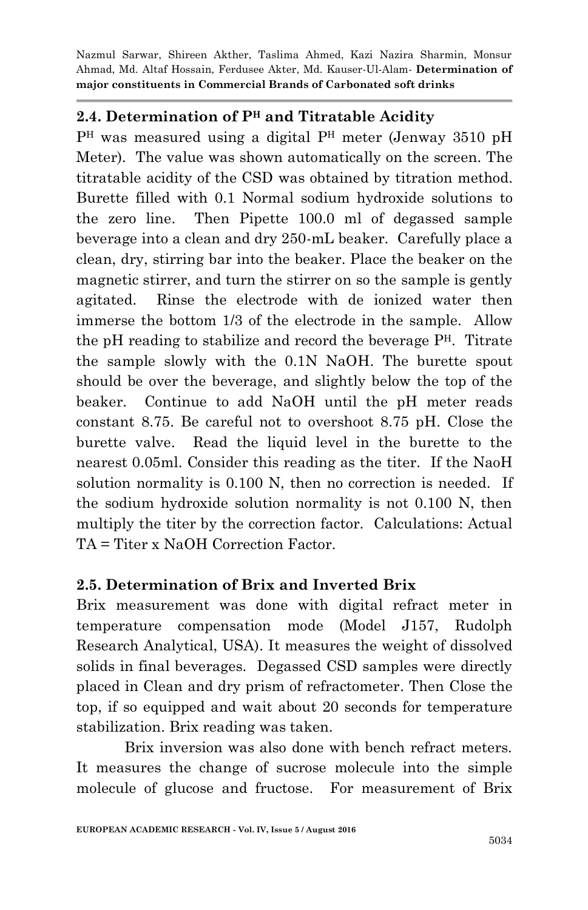### **2.4. Determination of P<sup>H</sup> and Titratable Acidity**

P<sup>H</sup> was measured using a digital P<sup>H</sup> meter (Jenway 3510 pH Meter). The value was shown automatically on the screen. The titratable acidity of the CSD was obtained by titration method. Burette filled with 0.1 Normal sodium hydroxide solutions to the zero line. Then Pipette 100.0 ml of degassed sample beverage into a clean and dry 250-mL beaker. Carefully place a clean, dry, stirring bar into the beaker. Place the beaker on the magnetic stirrer, and turn the stirrer on so the sample is gently agitated. Rinse the electrode with de ionized water then immerse the bottom 1/3 of the electrode in the sample. Allow the pH reading to stabilize and record the beverage PH. Titrate the sample slowly with the 0.1N NaOH. The burette spout should be over the beverage, and slightly below the top of the beaker. Continue to add NaOH until the pH meter reads constant 8.75. Be careful not to overshoot 8.75 pH. Close the burette valve. Read the liquid level in the burette to the nearest 0.05ml. Consider this reading as the titer. If the NaoH solution normality is 0.100 N, then no correction is needed. If the sodium hydroxide solution normality is not 0.100 N, then multiply the titer by the correction factor. Calculations: Actual TA = Titer x NaOH Correction Factor.

#### **2.5. Determination of Brix and Inverted Brix**

Brix measurement was done with digital refract meter in temperature compensation mode (Model J157, Rudolph Research Analytical, USA). It measures the weight of dissolved solids in final beverages. Degassed CSD samples were directly placed in Clean and dry prism of refractometer. Then Close the top, if so equipped and wait about 20 seconds for temperature stabilization. Brix reading was taken.

Brix inversion was also done with bench refract meters. It measures the change of sucrose molecule into the simple molecule of glucose and fructose. For measurement of Brix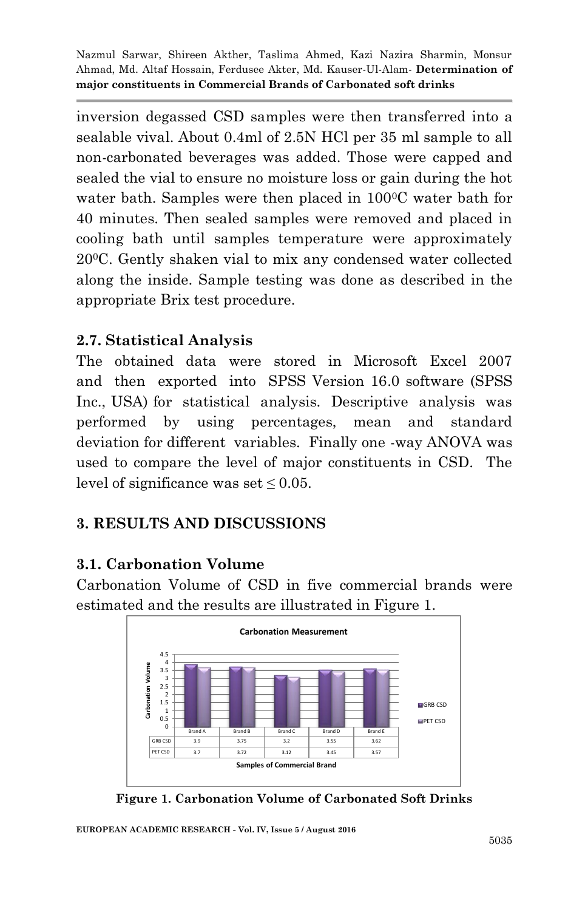inversion degassed CSD samples were then transferred into a sealable vival. About 0.4ml of 2.5N HCl per 35 ml sample to all non-carbonated beverages was added. Those were capped and sealed the vial to ensure no moisture loss or gain during the hot water bath. Samples were then placed in 100<sup>o</sup>C water bath for 40 minutes. Then sealed samples were removed and placed in cooling bath until samples temperature were approximately 200C. Gently shaken vial to mix any condensed water collected along the inside. Sample testing was done as described in the appropriate Brix test procedure.

# **2.7. Statistical Analysis**

The obtained data were stored in Microsoft Excel 2007 and then exported into SPSS Version 16.0 software (SPSS Inc., USA) for statistical analysis. Descriptive analysis was performed by using percentages, mean and standard deviation for different variables. Finally one -way ANOVA was used to compare the level of major constituents in CSD. The level of significance was set  $\leq 0.05$ .

# **3. RESULTS AND DISCUSSIONS**

# **3.1. Carbonation Volume**

Carbonation Volume of CSD in five commercial brands were estimated and the results are illustrated in Figure 1.



**Figure 1. Carbonation Volume of Carbonated Soft Drinks**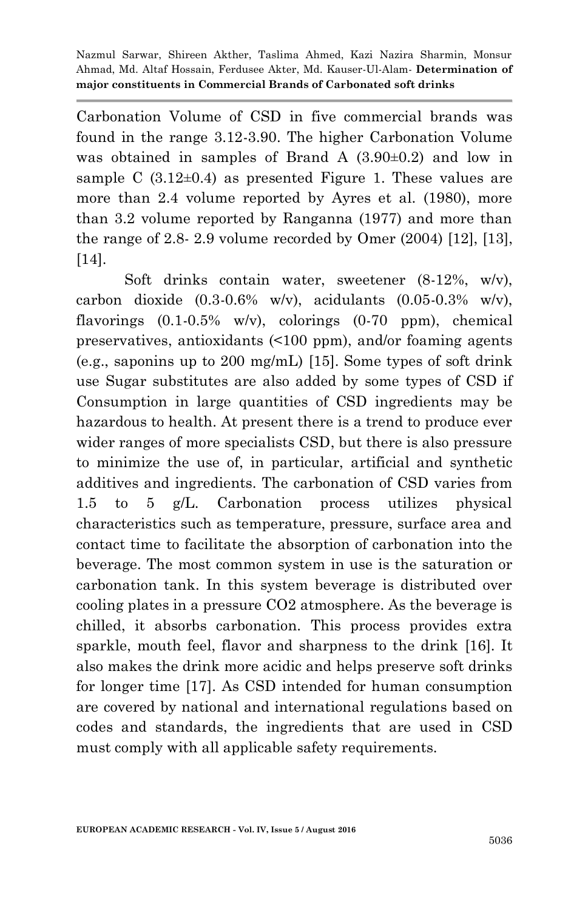Carbonation Volume of CSD in five commercial brands was found in the range 3.12-3.90. The higher Carbonation Volume was obtained in samples of Brand A (3.90±0.2) and low in sample C  $(3.12\pm0.4)$  as presented Figure 1. These values are more than 2.4 volume reported by Ayres et al. (1980), more than 3.2 volume reported by Ranganna (1977) and more than the range of 2.8- 2.9 volume recorded by Omer (2004) [12], [13], [14].

Soft drinks contain water, sweetener (8-12%, w/v), carbon dioxide  $(0.3-0.6\% \text{ w/v})$ , acidulants  $(0.05-0.3\% \text{ w/v})$ , flavorings (0.1-0.5% w/v), colorings (0-70 ppm), chemical preservatives, antioxidants (<100 ppm), and/or foaming agents (e.g., saponins up to 200 mg/mL) [15]. Some types of soft drink use Sugar substitutes are also added by some types of CSD if Consumption in large quantities of CSD ingredients may be hazardous to health. At present there is a trend to produce ever wider ranges of more specialists CSD, but there is also pressure to minimize the use of, in particular, artificial and synthetic additives and ingredients. The carbonation of CSD varies from 1.5 to 5 g/L. Carbonation process utilizes physical characteristics such as temperature, pressure, surface area and contact time to facilitate the absorption of carbonation into the beverage. The most common system in use is the saturation or carbonation tank. In this system beverage is distributed over cooling plates in a pressure CO2 atmosphere. As the beverage is chilled, it absorbs carbonation. This process provides extra sparkle, mouth feel, flavor and sharpness to the drink [16]. It also makes the drink more acidic and helps preserve soft drinks for longer time [17]. As CSD intended for human consumption are covered by national and international regulations based on codes and standards, the ingredients that are used in CSD must comply with all applicable safety requirements.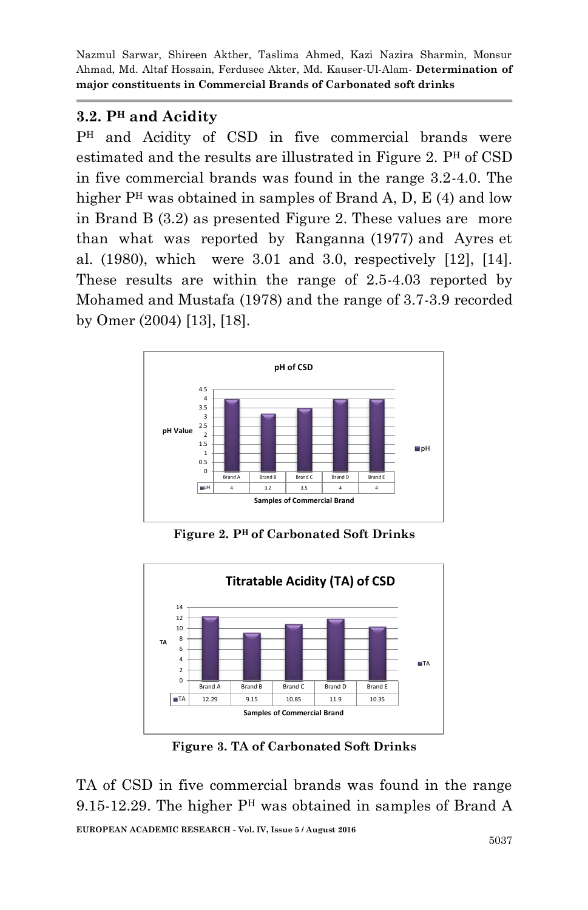# **3.2. P<sup>H</sup> and Acidity**

P<sup>H</sup> and Acidity of CSD in five commercial brands were estimated and the results are illustrated in Figure 2. P<sup>H</sup> of CSD in five commercial brands was found in the range 3.2-4.0. The higher  $P<sup>H</sup>$  was obtained in samples of Brand A, D, E (4) and low in Brand B (3.2) as presented Figure 2. These values are more than what was reported by Ranganna (1977) and Ayres et al. (1980), which were 3.01 and 3.0, respectively [12], [14]. These results are within the range of 2.5-4.03 reported by Mohamed and Mustafa (1978) and the range of 3.7-3.9 recorded by Omer (2004) [13], [18].



**Figure 2. P<sup>H</sup>of Carbonated Soft Drinks**



**Figure 3. TA of Carbonated Soft Drinks**

TA of CSD in five commercial brands was found in the range 9.15-12.29. The higher P<sup>H</sup> was obtained in samples of Brand A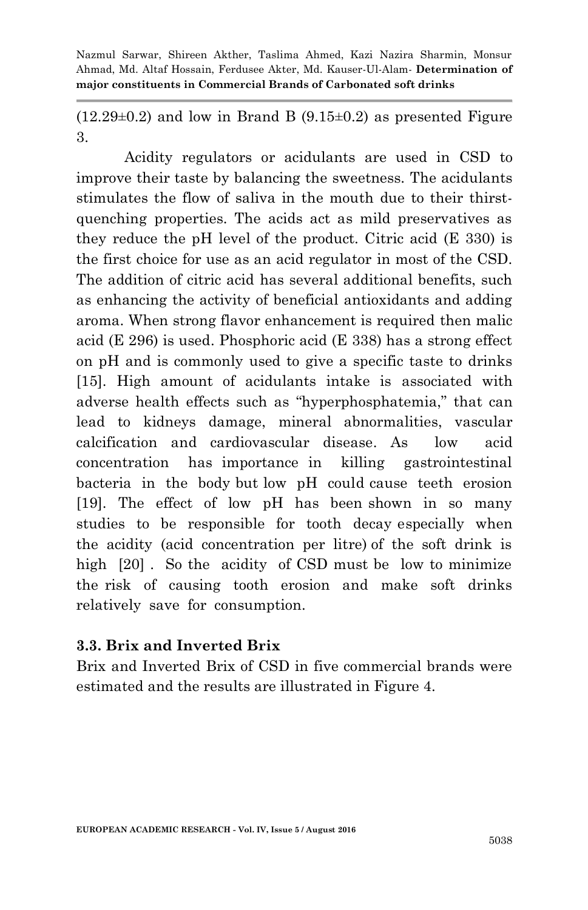$(12.29\pm0.2)$  and low in Brand B  $(9.15\pm0.2)$  as presented Figure 3.

Acidity regulators or acidulants are used in CSD to improve their taste by balancing the sweetness. The acidulants stimulates the flow of saliva in the mouth due to their thirstquenching properties. The acids act as mild preservatives as they reduce the pH level of the product. Citric acid (E 330) is the first choice for use as an acid regulator in most of the CSD. The addition of citric acid has several additional benefits, such as enhancing the activity of beneficial antioxidants and adding aroma. When strong flavor enhancement is required then malic acid (E 296) is used. Phosphoric acid (E 338) has a strong effect on pH and is commonly used to give a specific taste to drinks [15]. High amount of acidulants intake is associated with adverse health effects such as "hyperphosphatemia," that can lead to kidneys damage, mineral abnormalities, vascular calcification and cardiovascular disease. As low acid concentration has importance in killing gastrointestinal bacteria in the body but low pH could cause teeth erosion [19]. The effect of low pH has been shown in so many studies to be responsible for tooth decay especially when the acidity (acid concentration per litre) of the soft drink is high [20]. So the acidity of CSD must be low to minimize the risk of causing tooth erosion and make soft drinks relatively save for consumption.

#### **3.3. Brix and Inverted Brix**

Brix and Inverted Brix of CSD in five commercial brands were estimated and the results are illustrated in Figure 4.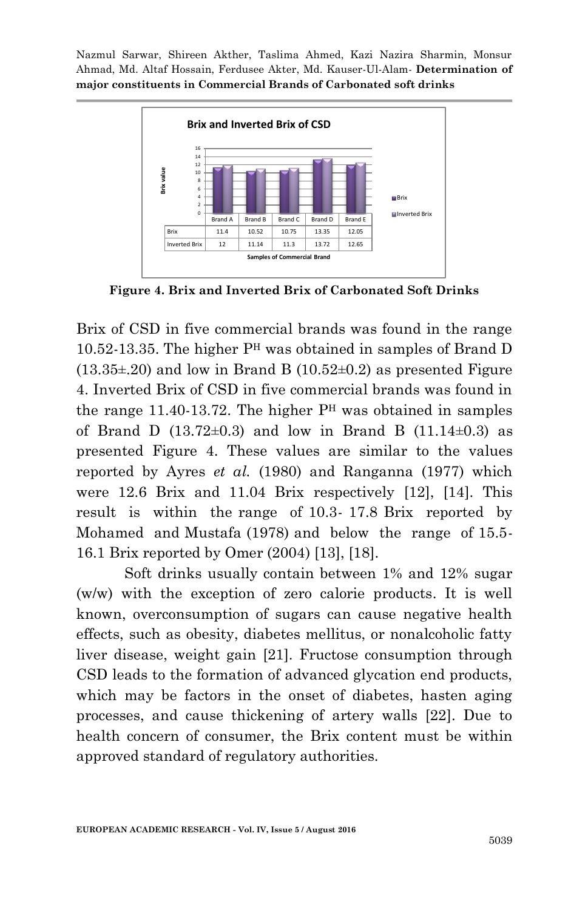

**Figure 4. Brix and Inverted Brix of Carbonated Soft Drinks**

Brix of CSD in five commercial brands was found in the range 10.52-13.35. The higher P<sup>H</sup> was obtained in samples of Brand D  $(13.35\pm 20)$  and low in Brand B  $(10.52\pm 0.2)$  as presented Figure 4. Inverted Brix of CSD in five commercial brands was found in the range 11.40-13.72. The higher  $P<sup>H</sup>$  was obtained in samples of Brand D  $(13.72\pm0.3)$  and low in Brand B  $(11.14\pm0.3)$  as presented Figure 4. These values are similar to the values reported by Ayres *et al.* (1980) and Ranganna (1977) which were 12.6 Brix and 11.04 Brix respectively [12], [14]. This result is within the range of 10.3- 17.8 Brix reported by Mohamed and Mustafa (1978) and below the range of 15.5- 16.1 Brix reported by Omer (2004) [13], [18].

Soft drinks usually contain between 1% and 12% sugar (w/w) with the exception of zero calorie products. It is well known, overconsumption of sugars can cause negative health effects, such as obesity, diabetes mellitus, or nonalcoholic fatty liver disease, weight gain [21]. Fructose consumption through CSD leads to the formation of advanced glycation end products, which may be factors in the onset of diabetes, hasten aging processes, and cause thickening of artery walls [22]. Due to health concern of consumer, the Brix content must be within approved standard of regulatory authorities.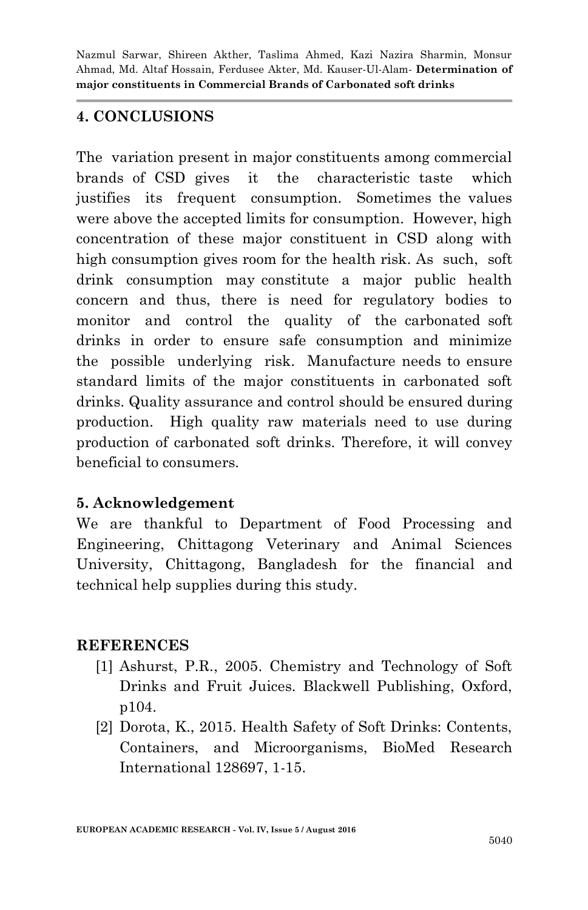### **4. CONCLUSIONS**

The variation present in major constituents among commercial brands of CSD gives it the characteristic taste which justifies its frequent consumption. Sometimes the values were above the accepted limits for consumption. However, high concentration of these major constituent in CSD along with high consumption gives room for the health risk. As such, soft drink consumption may constitute a major public health concern and thus, there is need for regulatory bodies to monitor and control the quality of the carbonated soft drinks in order to ensure safe consumption and minimize the possible underlying risk. Manufacture needs to ensure standard limits of the major constituents in carbonated soft drinks. Quality assurance and control should be ensured during production. High quality raw materials need to use during production of carbonated soft drinks. Therefore, it will convey beneficial to consumers.

# **5. Acknowledgement**

We are thankful to Department of Food Processing and Engineering, Chittagong Veterinary and Animal Sciences University, Chittagong, Bangladesh for the financial and technical help supplies during this study.

# **REFERENCES**

- [1] Ashurst, P.R., 2005. Chemistry and Technology of Soft Drinks and Fruit Juices. Blackwell Publishing, Oxford, p104.
- [2] Dorota, K., 2015. Health Safety of Soft Drinks: Contents, Containers, and Microorganisms, BioMed Research International 128697, 1-15.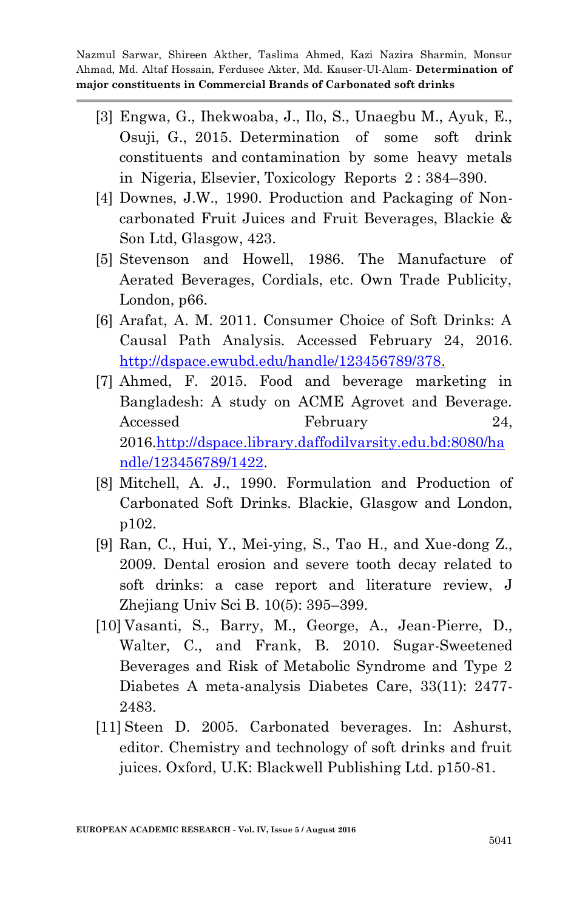- [3] Engwa, G., Ihekwoaba, J., Ilo, S., Unaegbu M., Ayuk, E., Osuji, G., 2015. Determination of some soft drink constituents and contamination by some heavy metals in Nigeria, Elsevier, Toxicology Reports 2 : 384–390.
- [4] Downes, J.W., 1990. Production and Packaging of Noncarbonated Fruit Juices and Fruit Beverages, Blackie & Son Ltd, Glasgow, 423.
- [5] Stevenson and Howell, 1986. The Manufacture of Aerated Beverages, Cordials, etc. Own Trade Publicity, London, p66.
- [6] Arafat, A. M. 2011. Consumer Choice of Soft Drinks: A Causal Path Analysis. Accessed February 24, 2016. [http://dspace.ewubd.edu/handle/123456789/378.](http://dspace.ewubd.edu/handle/123456789/378)
- [7] Ahmed, F. 2015. Food and beverage marketing in Bangladesh: A study on ACME Agrovet and Beverage. Accessed February 24, 2016[.http://dspace.library.daffodilvarsity.edu.bd:8080/ha](http://dspace.library.daffodilvarsity.edu.bd:8080/handle/123456789/1422) [ndle/123456789/1422.](http://dspace.library.daffodilvarsity.edu.bd:8080/handle/123456789/1422)
- [8] Mitchell, A. J., 1990. Formulation and Production of Carbonated Soft Drinks. Blackie, Glasgow and London, p102.
- [9] Ran, C., Hui, Y., Mei-ying, S., Tao H., and Xue-dong Z., 2009. Dental erosion and severe tooth decay related to soft drinks: a case report and literature review, J Zhejiang Univ Sci B. 10(5): 395–399.
- [10] Vasanti, S., Barry, M., George, A., Jean-Pierre, D., Walter, C., and Frank, B. 2010. Sugar-Sweetened Beverages and Risk of Metabolic Syndrome and Type 2 Diabetes A meta-analysis Diabetes Care, 33(11): 2477- 2483.
- [11] Steen D. 2005. Carbonated beverages. In: Ashurst, editor. Chemistry and technology of soft drinks and fruit juices. Oxford, U.K: Blackwell Publishing Ltd. p150-81.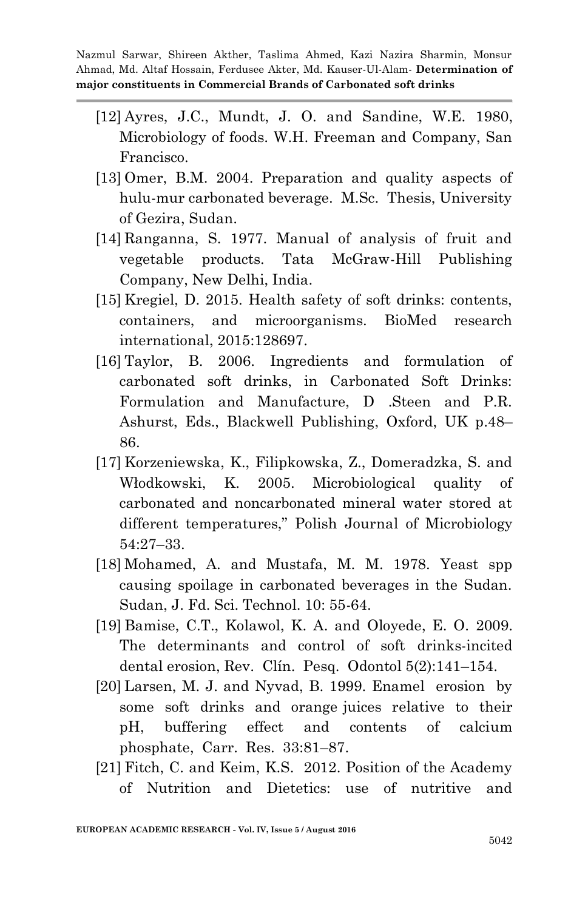- [12] Ayres, J.C., Mundt, J. O. and Sandine, W.E. 1980, Microbiology of foods. W.H. Freeman and Company, San Francisco.
- [13] Omer, B.M. 2004. Preparation and quality aspects of hulu-mur carbonated beverage. M.Sc. Thesis, University of Gezira, Sudan.
- [14] Ranganna, S. 1977. Manual of analysis of fruit and vegetable products. Tata McGraw-Hill Publishing Company, New Delhi, India.
- [15] Kregiel, D. 2015. Health safety of soft drinks: contents, containers, and microorganisms. BioMed research international, 2015:128697.
- [16] Taylor, B. 2006. Ingredients and formulation of carbonated soft drinks, in Carbonated Soft Drinks: Formulation and Manufacture, D .Steen and P.R. Ashurst, Eds., Blackwell Publishing, Oxford, UK p.48– 86.
- [17] Korzeniewska, K., Filipkowska, Z., Domeradzka, S. and Włodkowski, K. 2005. Microbiological quality of carbonated and noncarbonated mineral water stored at different temperatures," Polish Journal of Microbiology 54:27–33.
- [18] Mohamed, A. and Mustafa, M. M. 1978. Yeast spp causing spoilage in carbonated beverages in the Sudan. Sudan, J. Fd. Sci. Technol. 10: 55-64.
- [19] Bamise, C.T., Kolawol, K. A. and Oloyede, E. O. 2009. The determinants and control of soft drinks-incited dental erosion, Rev. Clín. Pesq. Odontol 5(2):141–154.
- [20] Larsen, M. J. and Nyvad, B. 1999. Enamel erosion by some soft drinks and orange juices relative to their pH, buffering effect and contents of calcium phosphate, Carr. Res. 33:81–87.
- [21] Fitch, C. and Keim, K.S. 2012. Position of the Academy of Nutrition and Dietetics: use of nutritive and